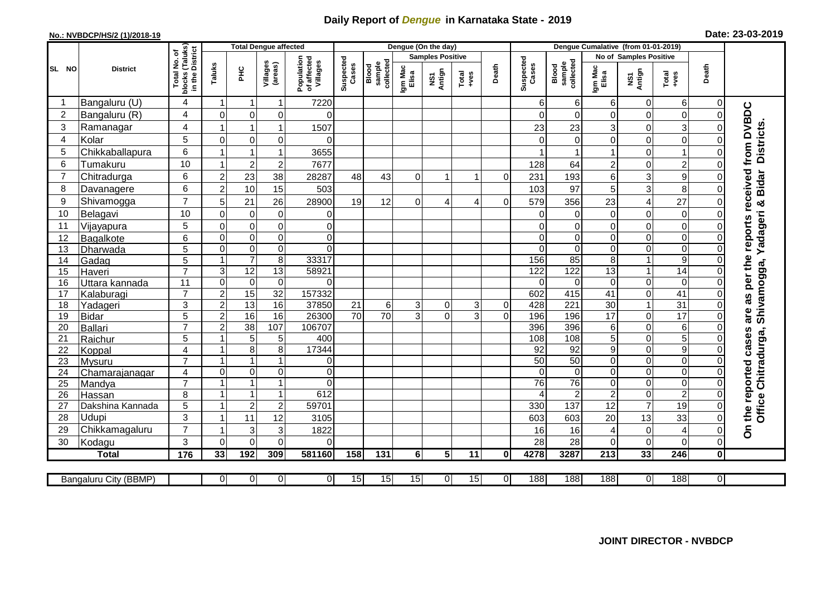## **Daily Report of** *Dengue* **in Karnataka State - 2019**

## **No.: NVBDCP/HS/2 (1)/2018-19**

| Date: 23-03-2019 |  |  |  |  |
|------------------|--|--|--|--|
|------------------|--|--|--|--|

|                |                            |                                                    |                         | <b>Total Dengue affected</b>  |                     |                                       |                    |                              |                  | Dengue (On the day)     |               |                |                    |                              |                      | Dengue Cumalative (from 01-01-2019) |                            |                |                                                          |
|----------------|----------------------------|----------------------------------------------------|-------------------------|-------------------------------|---------------------|---------------------------------------|--------------------|------------------------------|------------------|-------------------------|---------------|----------------|--------------------|------------------------------|----------------------|-------------------------------------|----------------------------|----------------|----------------------------------------------------------|
|                |                            |                                                    |                         |                               |                     |                                       |                    |                              |                  | <b>Samples Positive</b> |               |                |                    |                              |                      | <b>No of Samples Positive</b>       |                            |                |                                                          |
| SL NO          | <b>District</b>            | Total No. of<br>blocks (Taluks)<br>in the District | Taluks                  | E                             | Villages<br>(areas) | Population<br>of affected<br>Villages | Suspected<br>Cases | sample<br>collected<br>Blood | Igm Mac<br>Elisa | NS1<br>Antign           | Total<br>+ves | Death          | Suspected<br>Cases | collected<br>sample<br>Blood | Igm Mac<br>Elisa     | NS1<br>Antign                       | Total<br>$+ves$            | Death          |                                                          |
| -1             | Bangaluru (U)              | 4                                                  | $\mathbf 1$             | -1                            | 1                   | 7220                                  |                    |                              |                  |                         |               |                | 6                  | 6                            | 6                    | 0                                   | 6                          | 0              |                                                          |
| $\overline{2}$ | Bangaluru (R)              | $\overline{4}$                                     | $\mathbf 0$             | $\mathbf 0$                   | 0                   | $\Omega$                              |                    |                              |                  |                         |               |                | $\Omega$           | $\Omega$                     | 0                    | $\mathbf 0$                         | $\pmb{0}$                  | $\Omega$       |                                                          |
| 3              | Ramanagar                  | 4                                                  | -1                      | $\mathbf 1$                   | 1                   | 1507                                  |                    |                              |                  |                         |               |                | 23                 | 23                           | 3                    | $\mathbf 0$                         | 3                          |                | are as per the reports received from DVBDC<br>Districts. |
| 4              | Kolar                      | 5                                                  | $\mathbf 0$             | $\mathbf 0$                   | 0                   | $\Omega$                              |                    |                              |                  |                         |               |                |                    | 0                            | 0                    | $\mathsf 0$                         | 0                          |                |                                                          |
| 5              | Chikkaballapura            | 6                                                  | $\overline{\mathbf{1}}$ | $\mathbf{1}$                  | 1                   | 3655                                  |                    |                              |                  |                         |               |                |                    |                              | 1                    | $\mathbf 0$                         | $\overline{1}$             |                |                                                          |
| 6              | Tumakuru                   | 10                                                 | $\mathbf{1}$            | $\overline{c}$                | $\overline{c}$      | 7677                                  |                    |                              |                  |                         |               |                | 128                | 64                           | $\overline{c}$       | $\mathbf 0$                         | $\overline{2}$             |                |                                                          |
| $\overline{7}$ | Chitradurga                | 6                                                  | $\overline{2}$          | 23                            | 38                  | 28287                                 | 48                 | 43                           | $\Omega$         |                         |               | $\Omega$       | 231                | 193                          | 6                    | $\ensuremath{\mathsf{3}}$           | $\boldsymbol{9}$           |                |                                                          |
| 8              | Davanagere                 | 6                                                  | $\overline{2}$          | 10                            | 15                  | 503                                   |                    |                              |                  |                         |               |                | 103                | $\overline{97}$              | 5                    | 3                                   | 8                          |                |                                                          |
| 9              | Shivamogga                 | $\overline{7}$                                     | 5                       | 21                            | 26                  | 28900                                 | 19                 | 12                           | $\Omega$         | 4                       | 4             | $\Omega$       | 579                | 356                          | 23                   | $\overline{4}$                      | 27                         |                | Shivamogga, Yadageri & Bidar                             |
| 10             | Belagavi                   | 10                                                 | $\mathbf 0$             | $\mathbf 0$                   | 0                   | 0                                     |                    |                              |                  |                         |               |                | $\Omega$           | 0                            | 0                    | $\mathbf 0$                         | 0                          |                |                                                          |
| 11             | Vijayapura                 | $\overline{5}$                                     | $\mathbf 0$             | $\mathbf 0$                   | 0                   | $\mathbf 0$                           |                    |                              |                  |                         |               |                |                    | $\mathbf 0$                  | 0                    | $\mathbf 0$                         | $\pmb{0}$                  |                |                                                          |
| 12             | Bagalkote                  | 6                                                  | $\mathbf 0$             | $\mathbf 0$                   | 0                   | $\mathbf 0$                           |                    |                              |                  |                         |               |                | $\Omega$           | $\mathbf 0$                  | 0                    | $\mathbf 0$                         | $\pmb{0}$                  |                |                                                          |
| 13             | Dharwada                   | 5                                                  | $\mathbf 0$             | $\boldsymbol{0}$              | 0                   | $\Omega$                              |                    |                              |                  |                         |               |                | $\Omega$           | $\pmb{0}$                    | 0                    | $\pmb{0}$                           | $\pmb{0}$                  |                |                                                          |
| 14             | Gadag                      | 5                                                  | $\mathbf{1}$            | $\overline{7}$                | $\,8\,$             | 33317                                 |                    |                              |                  |                         |               |                | 156                | 85                           | 8                    | $\mathbf{1}$                        | $\boldsymbol{9}$           |                |                                                          |
| 15             | Haveri                     | $\overline{7}$                                     | 3                       | 12                            | 13                  | 58921                                 |                    |                              |                  |                         |               |                | $\overline{122}$   | 122                          | 13                   | $\overline{1}$                      | $\overline{14}$            |                |                                                          |
| 16             | <u>Uttara kannada</u>      | 11                                                 | $\mathbf 0$             | $\mathbf 0$                   | $\mathbf 0$         | $\Omega$                              |                    |                              |                  |                         |               |                | $\Omega$           | $\Omega$                     | $\Omega$             | $\mathbf 0$                         | $\mathbf 0$                |                |                                                          |
| 17             | Kalaburagi                 | $\overline{7}$                                     | $\overline{2}$          | 15                            | $\overline{32}$     | 157332                                |                    |                              |                  |                         |               |                | 602                | 415                          | $\overline{41}$      | $\overline{0}$                      | $\overline{41}$            |                |                                                          |
| 18             | Yadageri                   | 3                                                  | $\overline{2}$          | 13                            | $\overline{16}$     | 37850                                 | 21                 | 6                            | 3                | $\overline{0}$          | 3             | $\overline{0}$ | 428                | $\overline{221}$             | $\overline{30}$      | $\mathbf{1}$                        | 31                         |                |                                                          |
| 19             | <b>Bidar</b>               | 5                                                  | $\overline{2}$          | 16                            | $\overline{16}$     | 26300                                 | $\overline{70}$    | $\overline{70}$              | 3                | $\Omega$                | 3             | $\Omega$       | 196                | 196                          | $\overline{17}$      | 0                                   | 17                         |                |                                                          |
| 20             | <b>Ballari</b>             | $\overline{7}$                                     | $\overline{c}$          | 38                            | 107                 | 106707                                |                    |                              |                  |                         |               |                | 396                | 396                          | 6                    | 0                                   | $\,6\,$                    |                |                                                          |
| 21             | Raichur                    | $\overline{5}$                                     | -1                      | 5                             | 5                   | 400                                   |                    |                              |                  |                         |               |                | 108                | 108                          | 5                    | $\mathbf 0$                         | 5                          |                |                                                          |
| 22             | Koppal                     | $\overline{4}$                                     | $\overline{\mathbf{1}}$ | 8                             | 8                   | 17344                                 |                    |                              |                  |                         |               |                | 92                 | 92                           | 9                    | $\pmb{0}$                           | $\boldsymbol{9}$           | ∩              |                                                          |
| 23             | Mysuru                     | $\overline{7}$                                     | $\overline{1}$          | $\mathbf{1}$                  | 1                   | $\mathbf 0$                           |                    |                              |                  |                         |               |                | 50<br>$\Omega$     | 50                           | 0                    | $\pmb{0}$                           | $\overline{0}$             |                |                                                          |
| 24             | Chamarajanagar             | $\overline{4}$<br>$\overline{7}$                   | $\Omega$                | $\mathbf 0$<br>$\overline{1}$ | 0<br>1              | $\Omega$<br>$\Omega$                  |                    |                              |                  |                         |               |                | $\overline{76}$    | $\Omega$<br>$\overline{76}$  | $\Omega$<br>$\Omega$ | $\mathbf 0$<br>$\mathbf 0$          | $\mathbf 0$<br>$\mathbf 0$ |                |                                                          |
| 25<br>26       | Mandya                     | 8                                                  | $\overline{1}$          | $\mathbf{1}$                  | $\mathbf{1}$        | 612                                   |                    |                              |                  |                         |               |                |                    | $\overline{2}$               | $\overline{c}$       | $\boldsymbol{0}$                    | $\overline{c}$             |                |                                                          |
| 27             | Hassan<br>Dakshina Kannada | 5                                                  | $\overline{1}$          | $\overline{c}$                | $\overline{c}$      | 59701                                 |                    |                              |                  |                         |               |                | 330                | 137                          | $\overline{12}$      | $\overline{7}$                      | 19                         |                |                                                          |
| 28             | Udupi                      | 3                                                  | $\overline{1}$          | 11                            | 12                  | 3105                                  |                    |                              |                  |                         |               |                | 603                | 603                          | 20                   | 13                                  | 33                         | $\Omega$       | Office Chitradurga,                                      |
| 29             | Chikkamagaluru             | $\overline{7}$                                     | $\overline{\mathbf{1}}$ | 3                             | 3                   | 1822                                  |                    |                              |                  |                         |               |                | 16                 | 16                           | 4                    | $\mathbf 0$                         | $\overline{4}$             | $\Omega$       | On the reported cases                                    |
| 30             | Kodagu                     | $\mathbf{3}$                                       | $\Omega$                | $\mathbf 0$                   | 0                   | $\Omega$                              |                    |                              |                  |                         |               |                | 28                 | 28                           | $\Omega$             | $\Omega$                            | $\mathbf 0$                | $\Omega$       |                                                          |
|                | <b>Total</b>               | 176                                                | 33                      | 192                           | 309                 | 581160                                | 158                | 131                          | $6\phantom{.}$   | $5\phantom{.0}$         | 11            | $\mathbf 0$    | 4278               | 3287                         | $\overline{213}$     | 33                                  | $\overline{246}$           | 0              |                                                          |
|                |                            |                                                    |                         |                               |                     |                                       |                    |                              |                  |                         |               |                |                    |                              |                      |                                     |                            |                |                                                          |
|                | Bangaluru City (BBMP)      |                                                    | $\overline{0}$          | 0                             | 0                   | $\overline{0}$                        | 15                 | 15                           | 15               | $\overline{0}$          | 15            | $\overline{0}$ | 188                | 188                          | 188                  | $\overline{0}$                      | 188                        | $\overline{0}$ |                                                          |